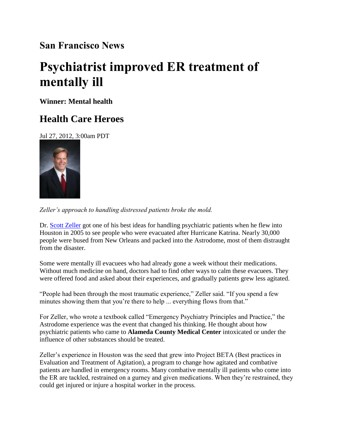## **San Francisco News**

## **Psychiatrist improved ER treatment of mentally ill**

**Winner: Mental health**

## **Health Care Heroes**

Jul 27, 2012, 3:00am PDT



*Zeller's approach to handling distressed patients broke the mold.* 

Dr. [Scott Zeller](http://www.bizjournals.com/sanfrancisco/search/results?q=Scott%20Zeller) got one of his best ideas for handling psychiatric patients when he flew into Houston in 2005 to see people who were evacuated after Hurricane Katrina. Nearly 30,000 people were bused from New Orleans and packed into the Astrodome, most of them distraught from the disaster.

Some were mentally ill evacuees who had already gone a week without their medications. Without much medicine on hand, doctors had to find other ways to calm these evacuees. They were offered food and asked about their experiences, and gradually patients grew less agitated.

"People had been through the most traumatic experience," Zeller said. "If you spend a few minutes showing them that you're there to help ... everything flows from that."

For Zeller, who wrote a textbook called "Emergency Psychiatry Principles and Practice," the Astrodome experience was the event that changed his thinking. He thought about how psychiatric patients who came to **Alameda County Medical Center** intoxicated or under the influence of other substances should be treated.

Zeller's experience in Houston was the seed that grew into Project BETA (Best practices in Evaluation and Treatment of Agitation), a program to change how agitated and combative patients are handled in emergency rooms. Many combative mentally ill patients who come into the ER are tackled, restrained on a gurney and given medications. When they're restrained, they could get injured or injure a hospital worker in the process.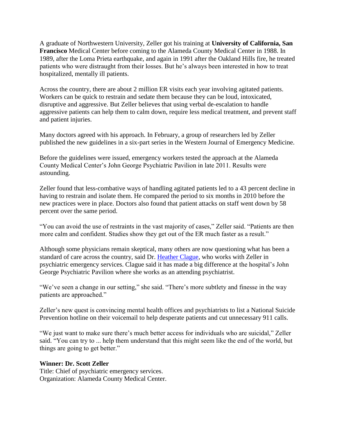A graduate of Northwestern University, Zeller got his training at **University of California, San Francisco** Medical Center before coming to the Alameda County Medical Center in 1988. In 1989, after the Loma Prieta earthquake, and again in 1991 after the Oakland Hills fire, he treated patients who were distraught from their losses. But he's always been interested in how to treat hospitalized, mentally ill patients.

Across the country, there are about 2 million ER visits each year involving agitated patients. Workers can be quick to restrain and sedate them because they can be loud, intoxicated, disruptive and aggressive. But Zeller believes that using verbal de-escalation to handle aggressive patients can help them to calm down, require less medical treatment, and prevent staff and patient injuries.

Many doctors agreed with his approach. In February, a group of researchers led by Zeller published the new guidelines in a six-part series in the Western Journal of Emergency Medicine.

Before the guidelines were issued, emergency workers tested the approach at the Alameda County Medical Center's John George Psychiatric Pavilion in late 2011. Results were astounding.

Zeller found that less-combative ways of handling agitated patients led to a 43 percent decline in having to restrain and isolate them. He compared the period to six months in 2010 before the new practices were in place. Doctors also found that patient attacks on staff went down by 58 percent over the same period.

"You can avoid the use of restraints in the vast majority of cases," Zeller said. "Patients are then more calm and confident. Studies show they get out of the ER much faster as a result."

Although some physicians remain skeptical, many others are now questioning what has been a standard of care across the country, said Dr. [Heather Clague,](http://www.bizjournals.com/sanfrancisco/search/results?q=Heather%20Clague) who works with Zeller in psychiatric emergency services. Clague said it has made a big difference at the hospital's John George Psychiatric Pavilion where she works as an attending psychiatrist.

"We've seen a change in our setting," she said. "There's more subtlety and finesse in the way patients are approached."

Zeller's new quest is convincing mental health offices and psychiatrists to list a National Suicide Prevention hotline on their voicemail to help desperate patients and cut unnecessary 911 calls.

"We just want to make sure there's much better access for individuals who are suicidal," Zeller said. "You can try to ... help them understand that this might seem like the end of the world, but things are going to get better."

## **Winner: Dr. Scott Zeller**

Title: Chief of psychiatric emergency services. Organization: Alameda County Medical Center.